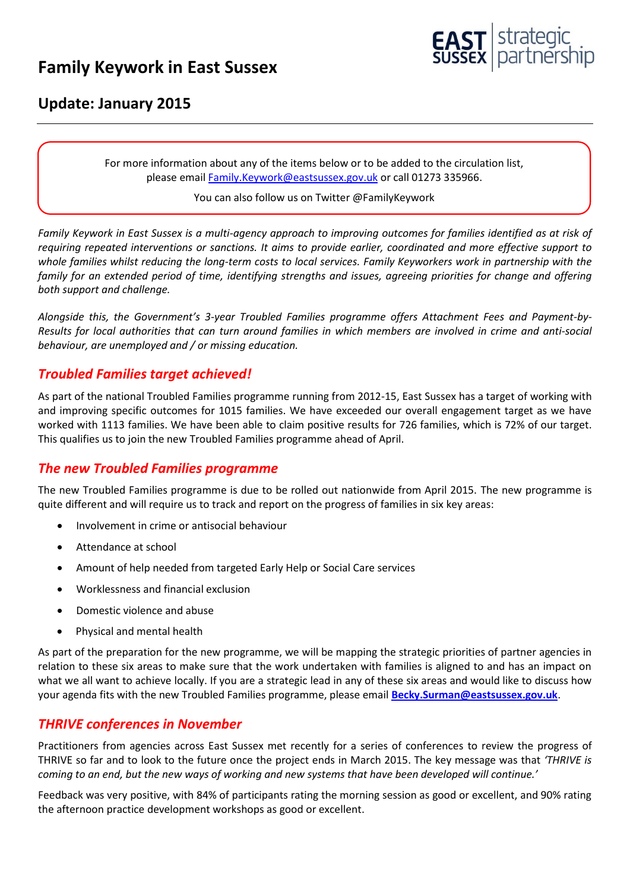# **Family Keywork in East Sussex**



# **Update: January 2015**

For more information about any of the items below or to be added to the circulation list, please emai[l Family.Keywork@eastsussex.gov.uk](mailto:Family.Keywork@eastsussex.gov.uk) or call 01273 335966.

#### You can also follow us on Twitter @FamilyKeywork

*Family Keywork in East Sussex is a multi-agency approach to improving outcomes for families identified as at risk of requiring repeated interventions or sanctions. It aims to provide earlier, coordinated and more effective support to whole families whilst reducing the long-term costs to local services. Family Keyworkers work in partnership with the family for an extended period of time, identifying strengths and issues, agreeing priorities for change and offering both support and challenge.* 

*Alongside this, the Government's 3-year Troubled Families programme offers Attachment Fees and Payment-by-Results for local authorities that can turn around families in which members are involved in crime and anti-social behaviour, are unemployed and / or missing education.* 

# *Troubled Families target achieved!*

As part of the national Troubled Families programme running from 2012-15, East Sussex has a target of working with and improving specific outcomes for 1015 families. We have exceeded our overall engagement target as we have worked with 1113 families. We have been able to claim positive results for 726 families, which is 72% of our target. This qualifies us to join the new Troubled Families programme ahead of April.

# *The new Troubled Families programme*

The new Troubled Families programme is due to be rolled out nationwide from April 2015. The new programme is quite different and will require us to track and report on the progress of families in six key areas:

- Involvement in crime or antisocial behaviour
- Attendance at school
- Amount of help needed from targeted Early Help or Social Care services
- Worklessness and financial exclusion
- Domestic violence and abuse
- Physical and mental health

As part of the preparation for the new programme, we will be mapping the strategic priorities of partner agencies in relation to these six areas to make sure that the work undertaken with families is aligned to and has an impact on what we all want to achieve locally. If you are a strategic lead in any of these six areas and would like to discuss how your agenda fits with the new Troubled Families programme, please email **[Becky.Surman@eastsussex.gov.uk](mailto:Becky.Surman@eastsussex.gov.uk)**.

# *THRIVE conferences in November*

Practitioners from agencies across East Sussex met recently for a series of conferences to review the progress of THRIVE so far and to look to the future once the project ends in March 2015. The key message was that *'THRIVE is coming to an end, but the new ways of working and new systems that have been developed will continue.'*

Feedback was very positive, with 84% of participants rating the morning session as good or excellent, and 90% rating the afternoon practice development workshops as good or excellent.